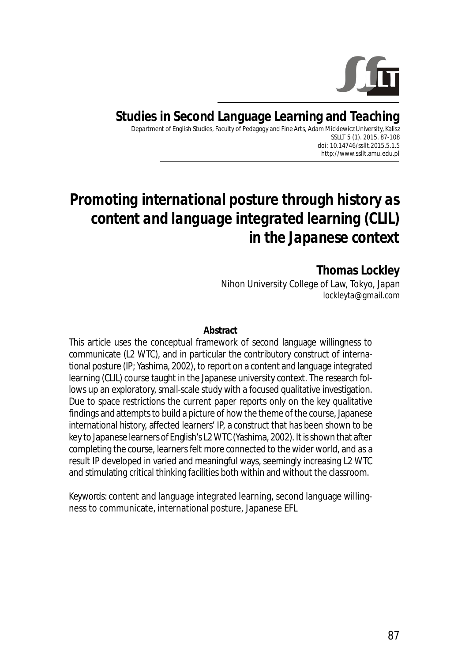

**Studies in Second Language Learning and Teaching** Department of English Studies, Faculty of Pedagogy and Fine Arts, Adam Mickiewicz University, Kalisz SSLLT 5 (1). 2015. 87-108 *doi: 10.14746/ssllt.2015.5.1.5* http://www.ssllt.amu.edu.pl

# *Promoting international posture through history as content and language integrated learning (CLIL) in the Japanese context*

**Thomas Lockley** Nihon University College of Law, Tokyo, Japan *lockleyta@gmail.com*

#### **Abstract**

This article uses the conceptual framework of second language willingness to communicate (L2 WTC), and in particular the contributory construct of international posture (IP; Yashima, 2002), to report on a content and language integrated learning (CLIL) course taught in the Japanese university context. The research follows up an exploratory, small-scale study with a focused qualitative investigation. Due to space restrictions the current paper reports only on the key qualitative findings and attempts to build a picture of how the theme of the course, Japanese international history, affected learners' IP, a construct that has been shown to be key to Japanese learners of English's L2 WTC (Yashima, 2002). It is shown that after completing the course, learners felt more connected to the wider world, and as a result IP developed in varied and meaningful ways, seemingly increasing L2 WTC and stimulating critical thinking facilities both within and without the classroom.

*Keywords*: content and language integrated learning, second language willingness to communicate, international posture, Japanese EFL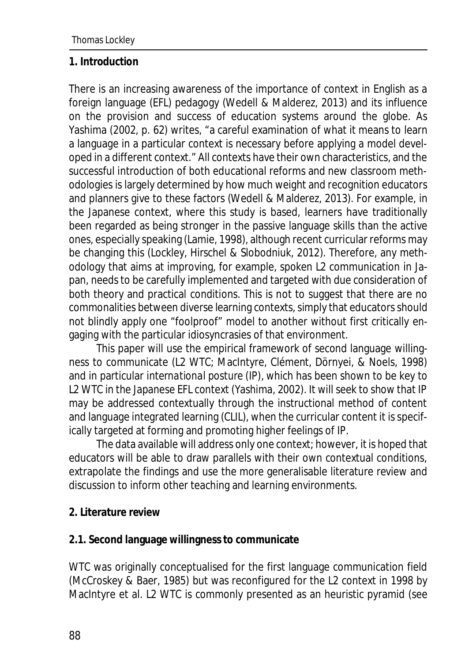#### **1. Introduction**

There is an increasing awareness of the importance of context in English as a foreign language (EFL) pedagogy (Wedell & Malderez, 2013) and its influence on the provision and success of education systems around the globe. As Yashima (2002, p. 62) writes, "a careful examination of what it means to learn a language in a particular context is necessary before applying a model developed in a different context." All contexts have their own characteristics, and the successful introduction of both educational reforms and new classroom methodologies is largely determined by how much weight and recognition educators and planners give to these factors (Wedell & Malderez, 2013). For example, in the Japanese context, where this study is based, learners have traditionally been regarded as being stronger in the passive language skills than the active ones, especially speaking (Lamie, 1998), although recent curricular reforms may be changing this (Lockley, Hirschel & Slobodniuk, 2012). Therefore, any methodology that aims at improving, for example, spoken L2 communication in Japan, needs to be carefully implemented and targeted with due consideration of both theory and practical conditions. This is not to suggest that there are no commonalities between diverse learning contexts, simply that educators should not blindly apply one "foolproof" model to another without first critically engaging with the particular idiosyncrasies of that environment.

This paper will use the empirical framework of second language willingness to communicate (L2 WTC; MacIntyre, Clément, Dörnyei, & Noels, 1998) and in particular *international posture* (IP), which has been shown to be key to L2 WTC in the Japanese EFL context (Yashima, 2002). It will seek to show that IP may be addressed contextually through the instructional method of content and language integrated learning (CLIL), when the curricular content it is specifically targeted at forming and promoting higher feelings of IP.

The data available will address only one context; however, it is hoped that educators will be able to draw parallels with their own contextual conditions, extrapolate the findings and use the more generalisable literature review and discussion to inform other teaching and learning environments.

**2. Literature review**

### **2.1. Second language willingness to communicate**

WTC was originally conceptualised for the first language communication field (McCroskey & Baer, 1985) but was reconfigured for the L2 context in 1998 by MacIntyre et al. L2 WTC is commonly presented as an heuristic pyramid (see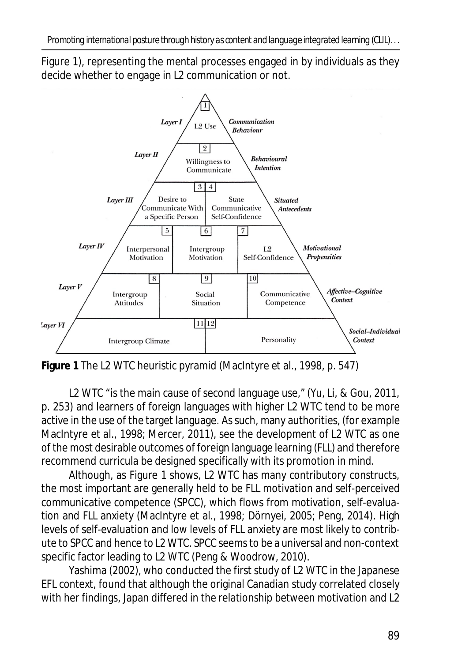Figure 1), representing the mental processes engaged in by individuals as they decide whether to engage in L2 communication or not.



**Figure 1** The L2 WTC heuristic pyramid (MacIntyre et al., 1998, p. 547)

L2 WTC "is the main cause of second language use," (Yu, Li, & Gou, 2011, p. 253) and learners of foreign languages with higher L2 WTC tend to be more active in the use of the target language. As such, many authorities, (for example MacIntyre et al., 1998; Mercer, 2011), see the development of L2 WTC as one of the most desirable outcomes of foreign language learning (FLL) and therefore recommend curricula be designed specifically with its promotion in mind.

Although, as Figure 1 shows, L2 WTC has many contributory constructs, the most important are generally held to be FLL motivation and self-perceived communicative competence (SPCC), which flows from motivation, self-evaluation and FLL anxiety (MacIntyre et al., 1998; Dörnyei, 2005; Peng, 2014). High levels of self-evaluation and low levels of FLL anxiety are most likely to contribute to SPCC and hence to L2 WTC. SPCC seems to be a universal and non-context specific factor leading to L2 WTC (Peng & Woodrow, 2010).

Yashima (2002), who conducted the first study of L2 WTC in the Japanese EFL context, found that although the original Canadian study correlated closely with her findings, Japan differed in the relationship between motivation and L2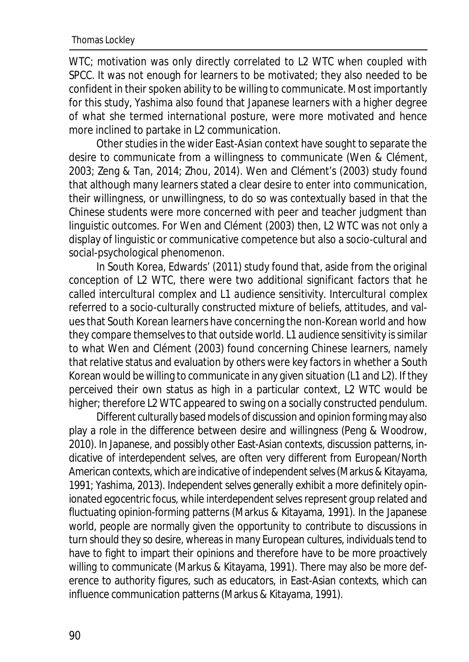WTC; motivation was only directly correlated to L2 WTC when coupled with SPCC. It was not enough for learners to be motivated; they also needed to be confident in their spoken ability to be willing to communicate. Most importantly for this study, Yashima also found that Japanese learners with a higher degree of what she termed *international posture*, were more motivated and hence more inclined to partake in L2 communication.

Other studies in the wider East-Asian context have sought to separate the *desire to communicate* from a *willingness to communicate* (Wen & Clément, 2003; Zeng & Tan, 2014; Zhou, 2014). Wen and Clément's (2003) study found that although many learners stated a clear desire to enter into communication, their willingness, or unwillingness, to do so was contextually based in that the Chinese students were more concerned with peer and teacher judgment than linguistic outcomes. For Wen and Clément (2003) then, L2 WTC was not only a display of linguistic or communicative competence but also a socio-cultural and social-psychological phenomenon.

In South Korea, Edwards' (2011) study found that, aside from the original conception of L2 WTC, there were two additional significant factors that he called *intercultural complex* and *L1 audience sensitivity*. *Intercultural complex* referred to a socio-culturally constructed mixture of beliefs, attitudes, and values that South Korean learners have concerning the non-Korean world and how they compare themselves to that outside world. *L1 audience sensitivity* is similar to what Wen and Clément (2003) found concerning Chinese learners, namely that relative status and evaluation by others were key factors in whether a South Korean would be willing to communicate in any given situation (L1 and L2). If they perceived their own status as high in a particular context, L2 WTC would be higher; therefore L2 WTC appeared to swing on a socially constructed pendulum.

Different culturally based models of discussion and opinion forming may also play a role in the difference between *desire* and *willingness* (Peng & Woodrow, 2010). In Japanese, and possibly other East-Asian contexts, discussion patterns, indicative of *interdependent selves,* are often very different from European/North American contexts, which are indicative of*independent selves* (Markus & Kitayama, 1991; Yashima, 2013). *Independent selves* generally exhibit a more definitely opinionated egocentric focus, while *interdependent* selves represent group related and fluctuating opinion-forming patterns (Markus & Kitayama, 1991). In the Japanese world, people are normally given the opportunity to contribute to discussions in turn should they so *desire*, whereas in many European cultures, individuals tend to have to fight to impart their opinions and therefore have to be more proactively *willing* to communicate (Markus & Kitayama, 1991). There may also be more deference to authority figures, such as educators, in East-Asian contexts, which can influence communication patterns (Markus & Kitayama, 1991).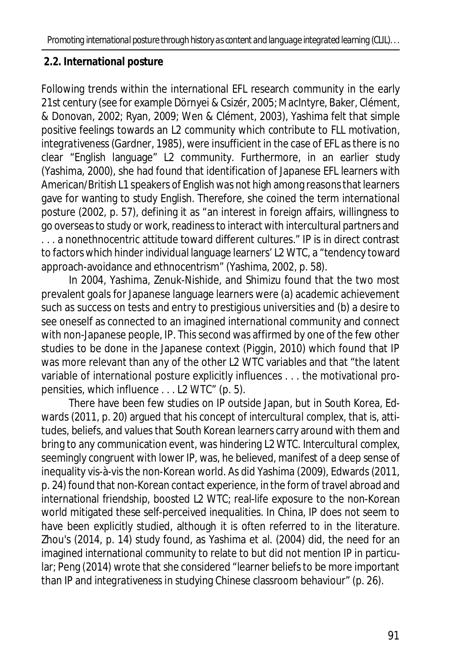# **2.2. International posture**

Following trends within the international EFL research community in the early 21st century (see for example Dörnyei & Csizér, 2005; MacIntyre, Baker, Clément, & Donovan, 2002; Ryan, 2009; Wen & Clément, 2003), Yashima felt that simple positive feelings towards an L2 community which contribute to FLL motivation, *integrativeness* (Gardner, 1985), were insufficient in the case of EFL as there is no clear "English language" L2 community. Furthermore, in an earlier study (Yashima, 2000), she had found that identification of Japanese EFL learners with American/British L1 speakers of English was not high among reasons that learners gave for wanting to study English. Therefore, she coined the term *international posture* (2002, p. 57), defining it as "an interest in foreign affairs, willingness to go overseas to study or work, readiness to interact with intercultural partners and . . . a nonethnocentric attitude toward different cultures." IP is in direct contrast to factors which hinder individual language learners' L2 WTC, a "tendency toward approach-avoidance and ethnocentrism" (Yashima, 2002, p. 58).

In 2004, Yashima, Zenuk-Nishide, and Shimizu found that the two most prevalent goals for Japanese language learners were (a) academic achievement such as success on tests and entry to prestigious universities and (b) a desire to see oneself as connected to an imagined international community and connect with non-Japanese people, IP. This second was affirmed by one of the few other studies to be done in the Japanese context (Piggin, 2010) which found that IP was more relevant than any of the other L2 WTC variables and that "the latent variable of international posture explicitly influences . . . the motivational propensities, which influence . . . L2 WTC" (p. 5).

There have been few studies on IP outside Japan, but in South Korea, Edwards (2011, p. 20) argued that his concept of *intercultural complex*, that is, attitudes, beliefs, and values that South Korean learners carry around with them and bring to any communication event, was hindering L2 WTC. *Intercultural complex*, seemingly congruent with lower IP, was, he believed, manifest of a deep sense of inequality vis-à-vis the non-Korean world. As did Yashima (2009), Edwards (2011, p. 24) found that non-Korean contact experience, in the form of travel abroad and international friendship, boosted L2 WTC; real-life exposure to the non-Korean world mitigated these self-perceived inequalities. In China, IP does not seem to have been explicitly studied, although it is often referred to in the literature. Zhou's (2014, p. 14) study found, as Yashima et al. (2004) did, the need for an imagined international community to relate to but did not mention IP in particular; Peng (2014) wrote that she considered "learner beliefs to be more important than IP and *integrativeness* in studying Chinese classroom behaviour" (p. 26).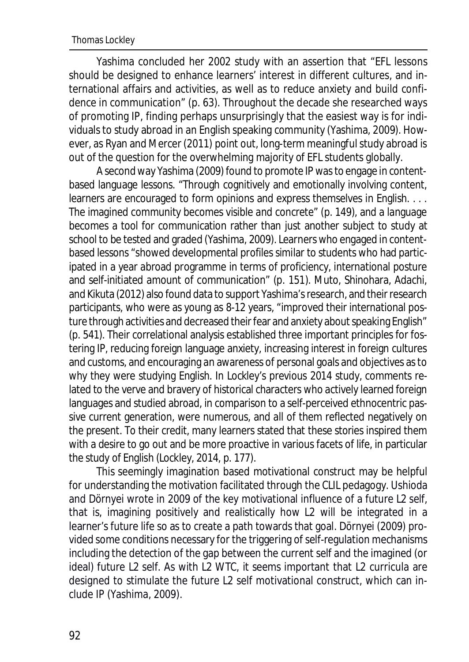Yashima concluded her 2002 study with an assertion that "EFL lessons should be designed to enhance learners' interest in different cultures, and international affairs and activities, as well as to reduce anxiety and build confidence in communication" (p. 63). Throughout the decade she researched ways of promoting IP, finding perhaps unsurprisingly that the easiest way is for individuals to study abroad in an English speaking community (Yashima, 2009). However, as Ryan and Mercer (2011) point out, long-term meaningful study abroad is out of the question for the overwhelming majority of EFL students globally.

A second way Yashima (2009) found to promote IP was to engage in contentbased language lessons. "Through cognitively and emotionally involving content, learners are encouraged to form opinions and express themselves in English. . . . The imagined community becomes visible and concrete" (p. 149), and a language becomes a tool for communication rather than just another subject to study at school to be tested and graded (Yashima, 2009). Learners who engaged in contentbased lessons "showed developmental profiles similar to students who had participated in a year abroad programme in terms of proficiency, international posture and self-initiated amount of communication" (p. 151). Muto, Shinohara, Adachi, and Kikuta (2012) also found data to support Yashima's research, and their research participants, who were as young as 8-12 years, "improved their international posture through activities and decreased their fear and anxiety about speaking English" (p. 541). Their correlational analysis established three important principles for fostering IP, reducing foreign language anxiety, increasing interest in foreign cultures and customs, and encouraging an awareness of personal goals and objectives as to why they were studying English. In Lockley's previous 2014 study, comments related to the verve and bravery of historical characters who actively learned foreign languages and studied abroad, in comparison to a self-perceived ethnocentric passive current generation, were numerous, and all of them reflected negatively on the present. To their credit, many learners stated that these stories inspired them with a desire to go out and be more proactive in various facets of life, in particular the study of English (Lockley, 2014, p. 177).

This seemingly imagination based motivational construct may be helpful for understanding the motivation facilitated through the CLIL pedagogy. Ushioda and Dörnyei wrote in 2009 of the key motivational influence of a future *L2 self*, that is, imagining positively and realistically how L2 will be integrated in a learner's future life so as to create a path towards that goal. Dörnyei (2009) provided some conditions necessary for the triggering of self-regulation mechanisms including the detection of the gap between the current self and the imagined (or ideal) future L2 self. As with L2 WTC, it seems important that L2 curricula are designed to stimulate the future L2 self motivational construct, which can include IP (Yashima, 2009).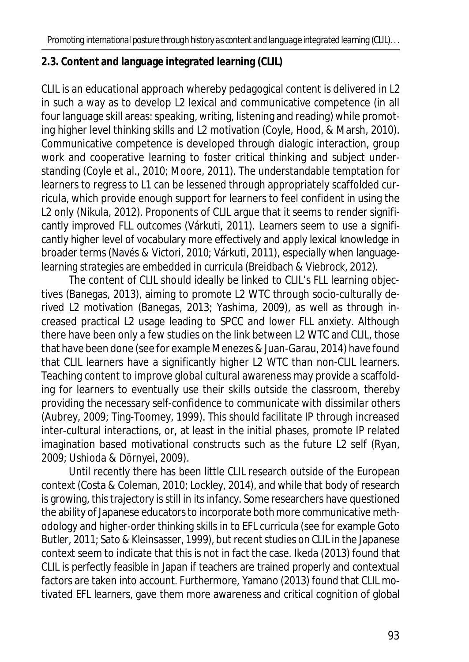# **2.3. Content and language integrated learning (CLIL)**

CLIL is an educational approach whereby pedagogical content is delivered in L2 in such a way as to develop L2 lexical and communicative competence (in all four language skill areas: speaking, writing, listening and reading) while promoting higher level thinking skills and L2 motivation (Coyle, Hood, & Marsh, 2010). Communicative competence is developed through dialogic interaction, group work and cooperative learning to foster critical thinking and subject understanding (Coyle et al., 2010; Moore, 2011). The understandable temptation for learners to regress to L1 can be lessened through appropriately scaffolded curricula, which provide enough support for learners to feel confident in using the L2 only (Nikula, 2012). Proponents of CLIL argue that it seems to render significantly improved FLL outcomes (Várkuti, 2011). Learners seem to use a significantly higher level of vocabulary more effectively and apply lexical knowledge in broader terms (Navés & Victori, 2010; Várkuti, 2011), especially when languagelearning strategies are embedded in curricula (Breidbach & Viebrock, 2012).

The content of CLIL should ideally be linked to CLIL's FLL learning objectives (Banegas, 2013), aiming to promote L2 WTC through socio-culturally derived L2 motivation (Banegas, 2013; Yashima, 2009), as well as through increased practical L2 usage leading to SPCC and lower FLL anxiety. Although there have been only a few studies on the link between L2 WTC and CLIL, those that have been done (see for example Menezes & Juan-Garau, 2014) have found that CLIL learners have a significantly higher L2 WTC than non-CLIL learners. Teaching content to improve global cultural awareness may provide a scaffolding for learners to eventually use their skills outside the classroom, thereby providing the necessary self-confidence to communicate with *dissimilar others* (Aubrey, 2009; Ting-Toomey, 1999). This should facilitate IP through increased inter-cultural interactions, or, at least in the initial phases, promote IP related imagination based motivational constructs such as the future L2 self (Ryan, 2009; Ushioda & Dörnyei, 2009).

Until recently there has been little CLIL research outside of the European context (Costa & Coleman, 2010; Lockley, 2014), and while that body of research is growing, this trajectory is still in its infancy. Some researchers have questioned the ability of Japanese educators to incorporate both more communicative methodology and higher-order thinking skills in to EFL curricula (see for example Goto Butler, 2011; Sato & Kleinsasser, 1999), but recent studies on CLIL in the Japanese context seem to indicate that this is not in fact the case. Ikeda (2013) found that CLIL is perfectly feasible in Japan if teachers are trained properly and contextual factors are taken into account. Furthermore, Yamano (2013) found that CLIL motivated EFL learners, gave them more awareness and critical cognition of global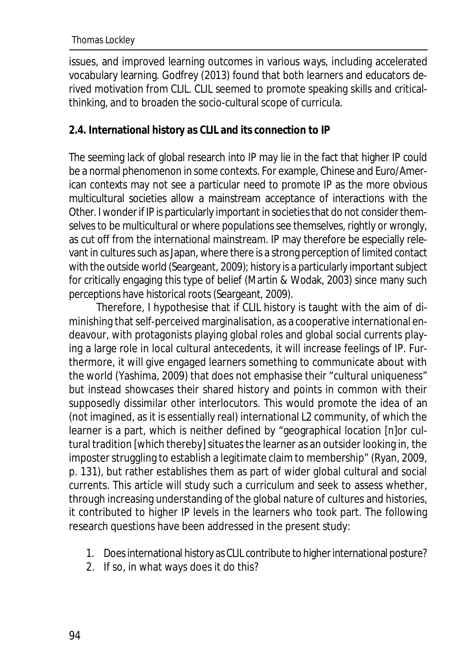issues, and improved learning outcomes in various ways, including accelerated vocabulary learning. Godfrey (2013) found that both learners and educators derived motivation from CLIL. CLIL seemed to promote speaking skills and criticalthinking, and to broaden the socio-cultural scope of curricula.

### **2.4. International history as CLIL and its connection to IP**

The seeming lack of global research into IP may lie in the fact that higher IP could be a normal phenomenon in some contexts. For example, Chinese and Euro/American contexts may not see a particular need to promote IP as the more obvious multicultural societies allow a mainstream acceptance of interactions with the *Other*. I wonder if IP is particularly important in societies that do not consider themselves to be multicultural or where populations see themselves, rightly or wrongly, as cut off from the international mainstream. IP may therefore be especially relevant in cultures such as Japan, where there is a strong perception of limited contact with the outside world (Seargeant, 2009); history is a particularly important subject for critically engaging this type of belief (Martin & Wodak, 2003) since many such perceptions have historical roots (Seargeant, 2009).

Therefore, I hypothesise that if CLIL history is taught with the aim of diminishing that self-perceived marginalisation, as a cooperative international endeavour, with protagonists playing global roles and global social currents playing a large role in local cultural antecedents, it will increase feelings of IP. Furthermore, it will give engaged learners something to communicate about with the world (Yashima, 2009) that does not emphasise their "cultural uniqueness" but instead showcases their shared history and points in common with their supposedly *dissimilar other* interlocutors. This would promote the idea of an (not imagined, as it is essentially real) international L2 community, of which the learner is a part, which is neither defined by "geographical location [n]or cultural tradition [which thereby] situates the learner as an outsider looking in, the imposter struggling to establish a legitimate claim to membership" (Ryan, 2009, p. 131), but rather establishes them as part of wider global cultural and social currents. This article will study such a curriculum and seek to assess whether, through increasing understanding of the global nature of cultures and histories, it contributed to higher IP levels in the learners who took part. The following research questions have been addressed in the present study:

- 1. Does international history as CLIL contribute to higher international posture?
- 2. If so, in what ways does it do this?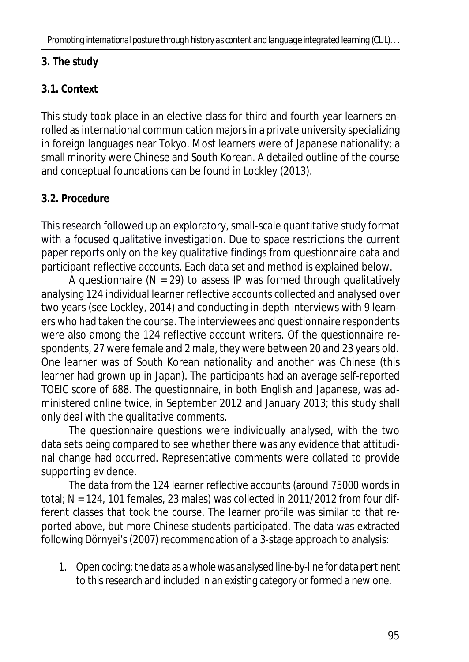# **3. The study**

# **3.1. Context**

This study took place in an elective class for third and fourth year learners enrolled as international communication majors in a private university specializing in foreign languages near Tokyo. Most learners were of Japanese nationality; a small minority were Chinese and South Korean. A detailed outline of the course and conceptual foundations can be found in Lockley (2013).

# **3.2. Procedure**

This research followed up an exploratory, small-scale quantitative study format with a focused qualitative investigation. Due to space restrictions the current paper reports only on the key qualitative findings from questionnaire data and participant reflective accounts. Each data set and method is explained below.

A questionnaire (*N* = 29) to assess IP was formed through qualitatively analysing 124 individual learner reflective accounts collected and analysed over two years (see Lockley, 2014) and conducting in-depth interviews with 9 learners who had taken the course. The interviewees and questionnaire respondents were also among the 124 reflective account writers. Of the questionnaire respondents, 27 were female and 2 male, they were between 20 and 23 years old. One learner was of South Korean nationality and another was Chinese (this learner had grown up in Japan). The participants had an average self-reported TOEIC score of 688. The questionnaire, in both English and Japanese, was administered online twice, in September 2012 and January 2013; this study shall only deal with the qualitative comments.

The questionnaire questions were individually analysed, with the two data sets being compared to see whether there was any evidence that attitudinal change had occurred. Representative comments were collated to provide supporting evidence.

The data from the 124 learner reflective accounts (around 75000 words in total; *N* = 124, 101 females, 23 males) was collected in 2011/2012 from four different classes that took the course. The learner profile was similar to that reported above, but more Chinese students participated. The data was extracted following Dörnyei's (2007) recommendation of a 3-stage approach to analysis:

1. Open coding; the data as a whole was analysed line-by-line for data pertinent to this research and included in an existing category or formed a new one.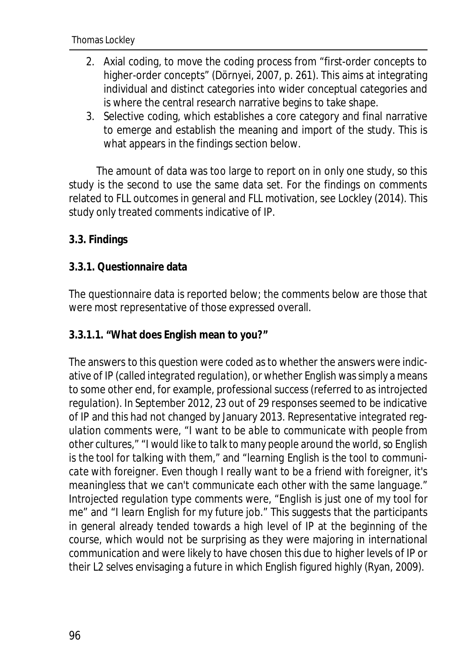- 2. Axial coding, to move the coding process from "first-order concepts to higher-order concepts" (Dörnyei, 2007, p. 261). This aims at integrating individual and distinct categories into wider conceptual categories and is where the central research narrative begins to take shape.
- 3. Selective coding, which establishes a core category and final narrative to emerge and establish the meaning and import of the study. This is what appears in the findings section below.

The amount of data was too large to report on in only one study, so this study is the second to use the same data set. For the findings on comments related to FLL outcomes in general and FLL motivation, see Lockley (2014). This study only treated comments indicative of IP.

### **3.3. Findings**

#### **3.3.1. Questionnaire data**

The questionnaire data is reported below; the comments below are those that were most representative of those expressed overall.

**3.3.1.1. "What does English mean to you?"**

The answers to this question were coded as to whether the answers were indicative of IP (called *integrated regulation*), or whether English was simply a means to some other end, for example, professional success (referred to as *introjected regulation*). In September 2012, 23 out of 29 responses seemed to be indicative of IP and this had not changed by January 2013. Representative *integrated regulation* comments were, "*I want to be able to communicate with people from other cultures*," "*I would like to talk to many people around the world, so English is the tool for talking with them*," and "*learning English is the tool to communicate with foreigner. Even though I really want to be a friend with foreigner, it's meaningless that we can't communicate each other with the same language*." *Introjected regulation* type comments were, "*English is just one of my tool for me*" and "*I learn English for my future job*." This suggests that the participants in general already tended towards a high level of IP at the beginning of the course, which would not be surprising as they were majoring in international communication and were likely to have chosen this due to higher levels of IP or their *L2 selves* envisaging a future in which English figured highly (Ryan, 2009).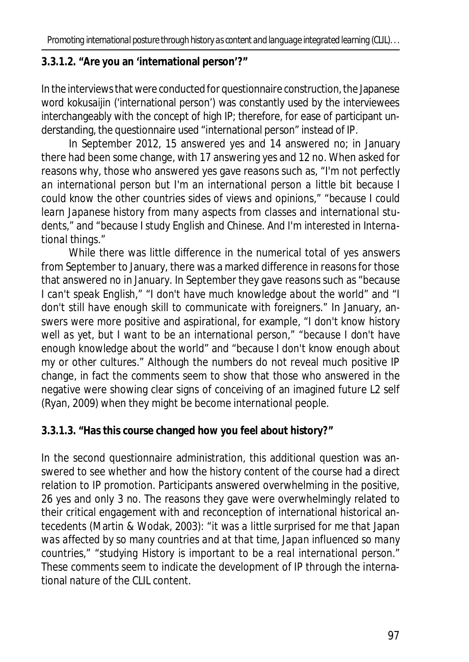# **3.3.1.2. "Are you an 'international person'?"**

In the interviews that were conducted for questionnaire construction, the Japanese word *kokusaijin* ('international person') was constantly used by the interviewees interchangeably with the concept of high IP; therefore, for ease of participant understanding, the questionnaire used "international person" instead of IP.

In September 2012, 15 answered *yes* and 14 answered *no*; in January there had been some change, with 17 answering *yes* and 12 *no*. When asked for reasons why, those who answered *yes* gave reasons such as, "*I'm not perfectly an international person but I'm an international person a little bit because I could know the other countries sides of views and opinions*," "*because I could learn Japanese history from many aspects from classes and international students*," and "*because I study English and Chinese. And I'm interested in International things*."

While there was little difference in the numerical total of *yes* answers from September to January, there was a marked difference in reasons for those that answered *no* in January. In September they gave reasons such as "*because I can't speak English,*" "*I don't have much knowledge about the world*" and "*I don't still have enough skill to communicate with foreigners*." In January, answers were more positive and aspirational, for example, "*I don't know history well as yet, but I want to be an international person*," "*because I don't have enough knowledge about the world*" and "*because I don't know enough about my or other cultures*." Although the numbers do not reveal much positive IP change, in fact the comments seem to show that those who answered in the negative were showing clear signs of conceiving of an imagined future L2 self (Ryan, 2009) when they might be become international people.

**3.3.1.3. "Has this course changed how you feel about history?"**

In the second questionnaire administration, this additional question was answered to see whether and how the history content of the course had a direct relation to IP promotion. Participants answered overwhelming in the positive, 26 *yes* and only 3 *no*. The reasons they gave were overwhelmingly related to their critical engagement with and reconception of international historical antecedents (Martin & Wodak, 2003): "*it was a little surprised for me that Japan was affected by so many countries and at that time, Japan influenced so many countries*," "*studying History is important to be a real international person*." These comments seem to indicate the development of IP through the international nature of the CLIL content.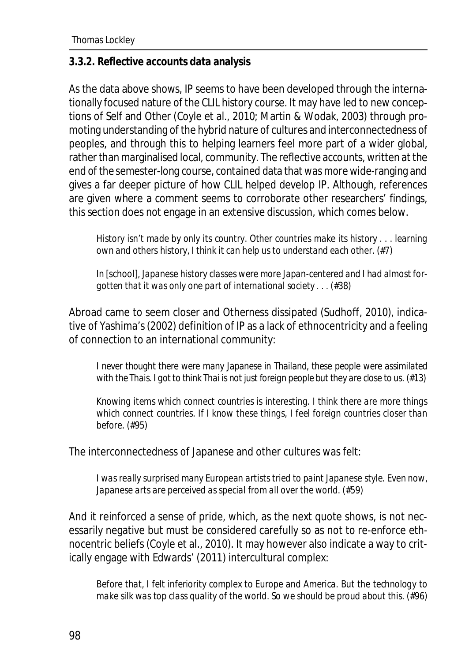#### **3.3.2. Reflective accounts data analysis**

As the data above shows, IP seems to have been developed through the internationally focused nature of the CLIL history course. It may have led to new conceptions of Self and Other (Coyle et al., 2010; Martin & Wodak, 2003) through promoting understanding of the hybrid nature of cultures and interconnectedness of peoples, and through this to helping learners feel more part of a wider global, rather than marginalised local, community. The reflective accounts, written at the end of the semester-long course, contained data that was more wide-ranging and gives a far deeper picture of how CLIL helped develop IP. Although, references are given where a comment seems to corroborate other researchers' findings, this section does not engage in an extensive discussion, which comes below.

*History isn't made by only its country. Other countries make its history . . . learning own and others history, I think it can help us to understand each other*. (#7)

*In* [school]*, Japanese history classes were more Japan-centered and I had almost forgotten that it was only one part of international society . . .* (#38)

Abroad came to seem closer and *Otherness* dissipated (Sudhoff, 2010), indicative of Yashima's (2002) definition of IP as a lack of ethnocentricity and a feeling of connection to an international community:

*I never thought there were many Japanese in Thailand, these people were assimilated with the Thais. I got to think Thai is not just foreign people but they are close to us*. (#13)

*Knowing items which connect countries is interesting. I think there are more things which connect countries. If I know these things, I feel foreign countries closer than before*. (#95)

The interconnectedness of Japanese and other cultures was felt:

*I was really surprised many European artists tried to paint Japanese style. Even now, Japanese arts are perceived as special from all over the world.* (#59)

And it reinforced a sense of pride, which, as the next quote shows, is not necessarily negative but must be considered carefully so as not to re-enforce ethnocentric beliefs (Coyle et al., 2010). It may however also indicate a way to critically engage with Edwards' (2011) intercultural complex:

*Before that, I felt inferiority complex to Europe and America. But the technology to make silk was top class quality of the world. So we should be proud about this*. (#96)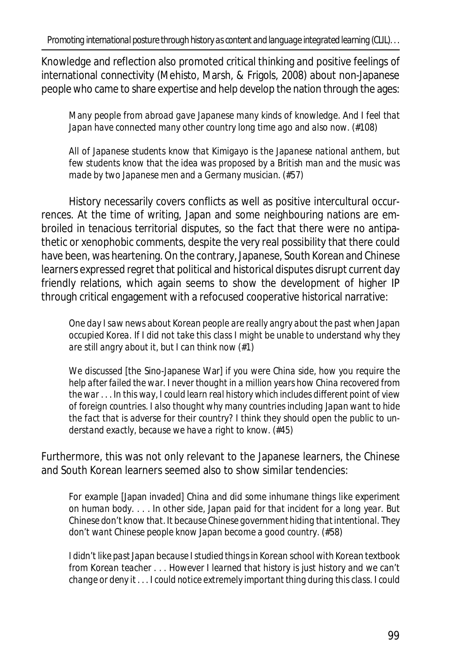Knowledge and reflection also promoted critical thinking and positive feelings of international connectivity (Mehisto, Marsh, & Frigols, 2008) about non-Japanese people who came to share expertise and help develop the nation through the ages:

*Many people from abroad gave Japanese many kinds of knowledge. And I feel that Japan have connected many other country long time ago and also now*. (#108)

*All of Japanese students know that Kimigayo is the Japanese national anthem, but few students know that the idea was proposed by a British man and the music was made by two Japanese men and a Germany musician*. (#57)

History necessarily covers conflicts as well as positive intercultural occurrences. At the time of writing, Japan and some neighbouring nations are embroiled in tenacious territorial disputes, so the fact that there were no antipathetic or xenophobic comments, despite the very real possibility that there could have been, was heartening. On the contrary, Japanese, South Korean and Chinese learners expressed regret that political and historical disputes disrupt current day friendly relations, which again seems to show the development of higher IP through critical engagement with a refocused cooperative historical narrative:

*One day I saw news about Korean people are really angry about the past when Japan occupied Korea. If I did not take this class I might be unable to understand why they are still angry about it, but I can think now* (#1)

*We discussed* [the Sino-Japanese War] *if you were China side, how you require the help after failed the war. I never thought in a million years how China recovered from the war . . . In this way, I could learn real history which includes different point of view of foreign countries. I also thought why many countries including Japan want to hide the fact that is adverse for their country? I think they should open the public to understand exactly, because we have a right to know*. (#45)

Furthermore, this was not only relevant to the Japanese learners, the Chinese and South Korean learners seemed also to show similar tendencies:

*For example* [Japan invaded] *China and did some inhumane things like experiment on human body. . . . In other side, Japan paid for that incident for a long year. But Chinese don't know that. It because Chinese government hiding that intentional. They don't want Chinese people know Japan become a good country*. (#58)

*I didn't like past Japan because I studied things in Korean school with Korean textbook from Korean teacher . . . However I learned that history is just history and we can't change or deny it . . . I could notice extremely important thing during this class. I could*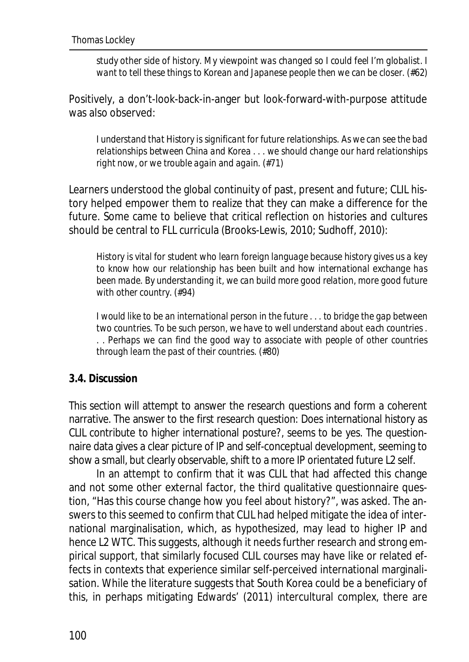*study other side of history. My viewpoint was changed so I could feel I'm globalist. I want to tell these things to Korean and Japanese people then we can be closer.* (#62)

Positively, a don't-look-back-in-anger but look-forward-with-purpose attitude was also observed:

*I understand that History is significant for future relationships. As we can see the bad relationships between China and Korea . . . we should change our hard relationships right now, or we trouble again and again*. (#71)

Learners understood the global continuity of past, present and future; CLIL history helped empower them to realize that they can make a difference for the future. Some came to believe that critical reflection on histories and cultures should be central to FLL curricula (Brooks-Lewis, 2010; Sudhoff, 2010):

*History is vital for student who learn foreign language because history gives us a key to know how our relationship has been built and how international exchange has been made. By understanding it, we can build more good relation, more good future with other country*. (#94)

*I would like to be an international person in the future . . . to bridge the gap between two countries. To be such person, we have to well understand about each countries . . . Perhaps we can find the good way to associate with people of other countries through learn the past of their countries*. (#80)

#### **3.4. Discussion**

This section will attempt to answer the research questions and form a coherent narrative. The answer to the first research question: Does international history as CLIL contribute to higher international posture?, seems to be yes. The questionnaire data gives a clear picture of IP and self-conceptual development, seeming to show a small, but clearly observable, shift to a more IP orientated future L2 self.

In an attempt to confirm that it was CLIL that had affected this change and not some other external factor, the third qualitative questionnaire question, "Has this course change how you feel about history?", was asked. The answers to this seemed to confirm that CLIL had helped mitigate the idea of international marginalisation, which, as hypothesized, may lead to higher IP and hence L2 WTC. This suggests, although it needs further research and strong empirical support, that similarly focused CLIL courses may have like or related effects in contexts that experience similar self-perceived international marginalisation. While the literature suggests that South Korea could be a beneficiary of this, in perhaps mitigating Edwards' (2011) intercultural complex, there are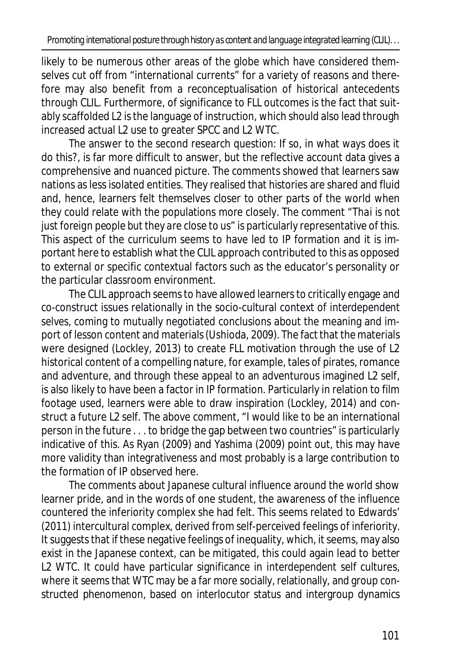likely to be numerous other areas of the globe which have considered themselves cut off from "international currents" for a variety of reasons and therefore may also benefit from a reconceptualisation of historical antecedents through CLIL. Furthermore, of significance to FLL outcomes is the fact that suitably scaffolded L2 is the language of instruction, which should also lead through increased actual L2 use to greater SPCC and L2 WTC.

The answer to the second research question: If so, in what ways does it do this?, is far more difficult to answer, but the reflective account data gives a comprehensive and nuanced picture. The comments showed that learners saw nations as less isolated entities. They realised that histories are shared and fluid and, hence, learners felt themselves closer to other parts of the world when they could relate with the populations more closely. The comment "*Thai is not just foreign people but they are close to us*" is particularly representative of this. This aspect of the curriculum seems to have led to IP formation and it is important here to establish what the CLIL approach contributed to this as opposed to external or specific contextual factors such as the educator's personality or the particular classroom environment.

The CLIL approach seems to have allowed learners to critically engage and co-construct issues relationally in the socio-cultural context of *interdependent selves,* coming to mutually negotiated conclusions about the meaning and import of lesson content and materials(Ushioda, 2009). The fact that the materials were designed (Lockley, 2013) to create FLL motivation through the use of L2 historical content of a compelling nature, for example, tales of pirates, romance and adventure, and through these appeal to an adventurous imagined L2 self, is also likely to have been a factor in IP formation. Particularly in relation to film footage used, learners were able to draw inspiration (Lockley, 2014) and construct a future L2 self. The above comment, "I would like to be an international person in the future . . . to bridge the gap between two countries" is particularly indicative of this. As Ryan (2009) and Yashima (2009) point out, this may have more validity than integrativeness and most probably is a large contribution to the formation of IP observed here.

The comments about Japanese cultural influence around the world show learner pride, and in the words of one student, the awareness of the influence countered the inferiority complex she had felt. This seems related to Edwards' (2011) intercultural complex*,* derived from self-perceived feelings of inferiority. It suggests that if these negative feelings of inequality, which, it seems, may also exist in the Japanese context, can be mitigated, this could again lead to better L2 WTC. It could have particular significance in *interdependent self* cultures, where it seems that WTC may be a far more socially, relationally, and group constructed phenomenon, based on interlocutor status and intergroup dynamics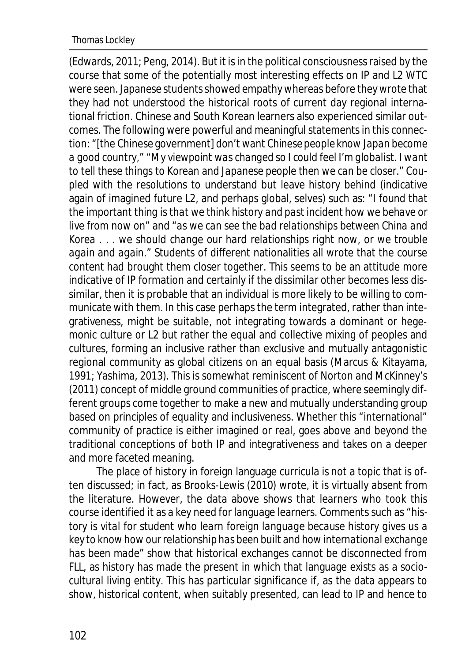(Edwards, 2011; Peng, 2014). But it is in the political consciousness raised by the course that some of the potentially most interesting effects on IP and L2 WTC were seen. Japanese students showed empathy whereas before they wrote that they had not understood the historical roots of current day regional international friction. Chinese and South Korean learners also experienced similar outcomes. The following were powerful and meaningful statements in this connection: "[the Chinese government] *don't want Chinese people know Japan become a good country*," "*My viewpoint was changed so I could feel I'm globalist. I want to tell these things to Korean and Japanese people then we can be closer*." Coupled with the resolutions to understand but leave history behind (indicative again of imagined future L2, and perhaps global, selves) such as: "*I found that the important thing is that we think history and past incident how we behave or live from now on*" and "*as we can see the bad relationships between China and Korea . . . we should change our hard relationships right now, or we trouble again and again*." Students of different nationalities all wrote that the course content had brought them closer together. This seems to be an attitude more indicative of IP formation and certainly if the *dissimilar other* becomes less dissimilar, then it is probable that an individual is more likely to be willing to communicate with them. In this case perhaps the term integrated, rather than integrativeness, might be suitable, not integrating towards a dominant or hegemonic culture or L2 but rather the equal and collective mixing of peoples and cultures, forming an inclusive rather than exclusive and mutually antagonistic regional community as global citizens on an equal basis (Marcus & Kitayama, 1991; Yashima, 2013). This is somewhat reminiscent of Norton and McKinney's (2011) concept of middle ground communities of practice, where seemingly different groups come together to make a new and mutually understanding group based on principles of equality and inclusiveness. Whether this "international" community of practice is either imagined or real, goes above and beyond the traditional conceptions of both IP and integrativeness and takes on a deeper and more faceted meaning.

The place of history in foreign language curricula is not a topic that is often discussed; in fact, as Brooks-Lewis (2010) wrote, it is virtually absent from the literature. However, the data above shows that learners who took this course identified it as a key need for language learners. Comments such as "*history is vital for student who learn foreign language because history gives us a key to know how our relationship has been built and how international exchange has been made*" show that historical exchanges cannot be disconnected from FLL, as history has made the present in which that language exists as a sociocultural living entity. This has particular significance if, as the data appears to show, historical content, when suitably presented, can lead to IP and hence to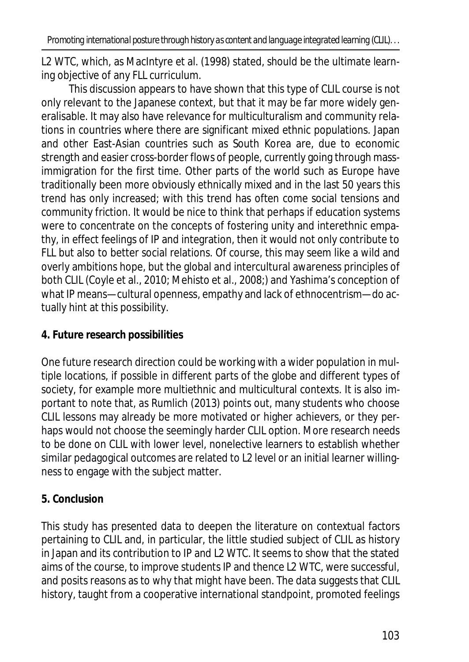L2 WTC, which, as MacIntyre et al. (1998) stated, should be the ultimate learning objective of any FLL curriculum.

This discussion appears to have shown that this type of CLIL course is not only relevant to the Japanese context, but that it may be far more widely generalisable. It may also have relevance for multiculturalism and community relations in countries where there are significant mixed ethnic populations. Japan and other East-Asian countries such as South Korea are, due to economic strength and easier cross-border flows of people, currently going through massimmigration for the first time. Other parts of the world such as Europe have traditionally been more obviously ethnically mixed and in the last 50 years this trend has only increased; with this trend has often come social tensions and community friction. It would be nice to think that perhaps if education systems were to concentrate on the concepts of fostering unity and interethnic empathy, in effect feelings of IP and integration, then it would not only contribute to FLL but also to better social relations. Of course, this may seem like a wild and overly ambitions hope, but the global and intercultural awareness principles of both CLIL (Coyle et al., 2010; Mehisto et al., 2008;) and Yashima's conception of what IP means—cultural openness, empathy and lack of ethnocentrism—do actually hint at this possibility.

# **4. Future research possibilities**

One future research direction could be working with a wider population in multiple locations, if possible in different parts of the globe and different types of society, for example more multiethnic and multicultural contexts. It is also important to note that, as Rumlich (2013) points out, many students who choose CLIL lessons may already be more motivated or higher achievers, or they perhaps would not choose the seemingly harder CLIL option. More research needs to be done on CLIL with lower level, nonelective learners to establish whether similar pedagogical outcomes are related to L2 level or an initial learner willingness to engage with the subject matter.

# **5. Conclusion**

This study has presented data to deepen the literature on contextual factors pertaining to CLIL and, in particular, the little studied subject of CLIL as history in Japan and its contribution to IP and L2 WTC. It seems to show that the stated aims of the course, to improve students IP and thence L2 WTC, were successful, and posits reasons as to why that might have been. The data suggests that CLIL history, taught from a cooperative international standpoint, promoted feelings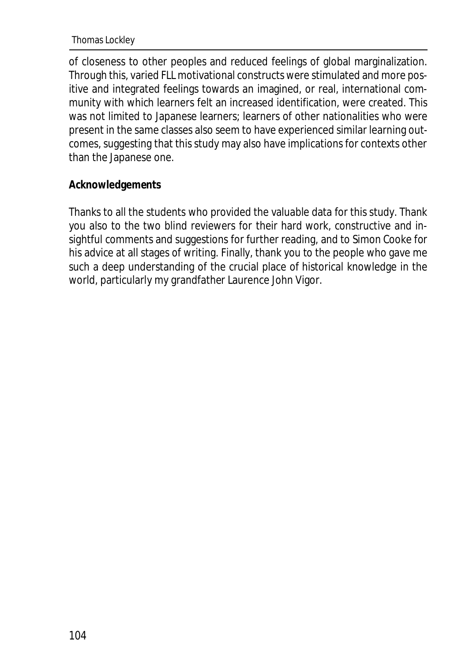#### Thomas Lockley

of closeness to other peoples and reduced feelings of global marginalization. Through this, varied FLL motivational constructs were stimulated and more positive and integrated feelings towards an imagined, or real, international community with which learners felt an increased identification, were created. This was not limited to Japanese learners; learners of other nationalities who were present in the same classes also seem to have experienced similar learning outcomes, suggesting that this study may also have implications for contexts other than the Japanese one.

#### **Acknowledgements**

Thanks to all the students who provided the valuable data for this study. Thank you also to the two blind reviewers for their hard work, constructive and insightful comments and suggestions for further reading, and to Simon Cooke for his advice at all stages of writing. Finally, thank you to the people who gave me such a deep understanding of the crucial place of historical knowledge in the world, particularly my grandfather Laurence John Vigor.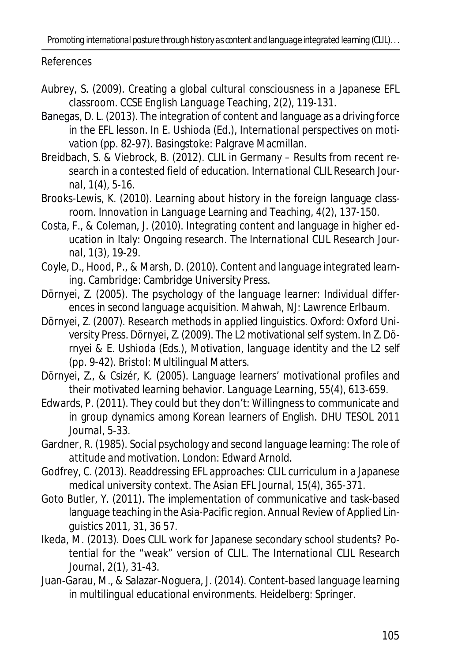*Promoting international posture through history as content and language integrated learning (CLIL). . .*

References

- Aubrey, S. (2009). Creating a global cultural consciousness in a Japanese EFL classroom. *CCSE English Language Teaching, 2*(2), 119-131.
- Banegas, D. L. (2013). The integration of content and language as a driving force in the EFL lesson. In E. Ushioda (Ed.), *International perspectives on motivation* (pp. 82-97). Basingstoke: Palgrave Macmillan.
- Breidbach, S. & Viebrock, B. (2012). CLIL in Germany Results from recent research in a contested field of education. *International CLIL Research Journal, 1*(4), 5-16.
- Brooks-Lewis, K. (2010). Learning about history in the foreign language classroom. *Innovation in Language Learning and Teaching, 4*(2), 137-150.
- Costa, F., & Coleman, J. (2010). Integrating content and language in higher education in Italy: Ongoing research. *The International CLIL Research Journal, 1*(3), 19-29.
- Coyle, D., Hood, P., & Marsh, D. (2010). *Content and language integrated learning*. Cambridge: Cambridge University Press.
- Dörnyei, Z. (2005). *The psychology of the language learner: Individual differences in second language acquisition*. Mahwah, NJ: Lawrence Erlbaum.
- Dörnyei, Z. (2007). *Research methods in applied linguistics*. Oxford: Oxford University Press. Dörnyei, Z. (2009). The L2 motivational self system. In Z. Dörnyei & E. Ushioda (Eds.), *Motivation, language identity and the L2 self* (pp. 9-42). Bristol: Multilingual Matters.
- Dörnyei, Z., & Csizér, K. (2005). Language learners' motivational profiles and their motivated learning behavior. *Language Learning, 55*(4), 613-659.
- Edwards, P. (2011). They could but they don't: Willingness to communicate and in group dynamics among Korean learners of English. *DHU TESOL 2011 Journal,* 5-33.
- Gardner, R. (1985). *Social psychology and second language learning: The role of attitude and motivation*. London: Edward Arnold.
- Godfrey, C. (2013). Readdressing EFL approaches: CLIL curriculum in a Japanese medical university context. *The Asian EFL Journal, 15*(4), 365-371.
- Goto Butler, Y. (2011). The implementation of communicative and task-based language teaching in the Asia-Pacific region. *Annual Review of Applied Linguistics 2011, 31*, 36 57.
- Ikeda, M. (2013). Does CLIL work for Japanese secondary school students? Potential for the "weak" version of CLIL. *The International CLIL Research Journal, 2*(1), 31-43.
- Juan-Garau, M., & Salazar-Noguera, J. (2014). *Content-based language learning in multilingual educational environments*. Heidelberg: Springer.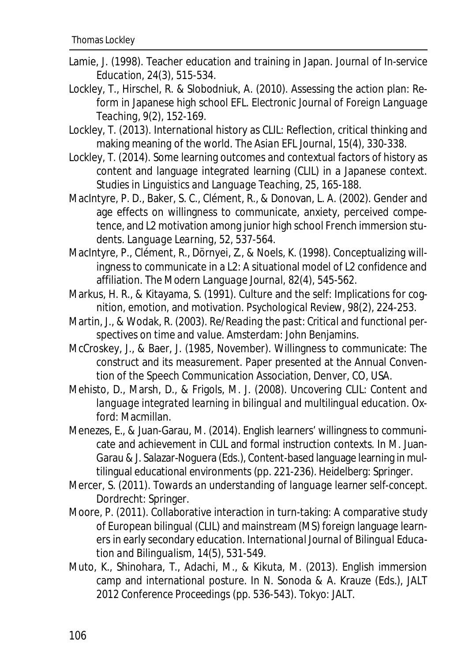- Lamie, J. (1998). Teacher education and training in Japan. *Journal of In-service Education, 24*(3), 515-534.
- Lockley, T., Hirschel, R. & Slobodniuk, A. (2010). Assessing the action plan: Reform in Japanese high school EFL. *Electronic Journal of Foreign Language Teaching, 9*(2), 152-169.
- Lockley, T. (2013). International history as CLIL: Reflection, critical thinking and making meaning of the world. *The Asian EFL Journal, 15*(4), 330-338.
- Lockley, T. (2014). Some learning outcomes and contextual factors of history as content and language integrated learning (CLIL) in a Japanese context. *Studies in Linguistics and Language Teaching, 25*, 165-188.
- MacIntyre, P. D., Baker, S. C., Clément, R., & Donovan, L. A. (2002). Gender and age effects on willingness to communicate, anxiety, perceived competence, and L2 motivation among junior high school French immersion students. *Language Learning, 52*, 537-564.
- MacIntyre, P., Clément, R., Dörnyei, Z., & Noels, K. (1998). Conceptualizing willingness to communicate in a L2: A situational model of L2 confidence and affiliation. *The Modern Language Journal, 82*(4), 545-562.
- Markus, H. R., & Kitayama, S. (1991). Culture and the self: Implications for cognition, emotion, and motivation. *Psychological Review, 98*(2), 224-253.
- Martin, J., & Wodak, R. (2003). *Re/Reading the past: Critical and functional perspectives on time and value*. Amsterdam: John Benjamins.
- McCroskey, J., & Baer, J. (1985, November). Willingness to communicate: The construct and its measurement. Paper presented at the Annual Convention of the Speech Communication Association, Denver, CO, USA.
- Mehisto, D., Marsh, D., & Frigols, M. J. (2008). *Uncovering CLIL: Content and language integrated learning in bilingual and multilingual education*. Oxford: Macmillan.
- Menezes, E., & Juan-Garau, M. (2014). English learners' willingness to communicate and achievement in CLIL and formal instruction contexts. In M. Juan-Garau & J. Salazar-Noguera (Eds.), Content-based language learning in multilingual educational environments (pp. 221-236). Heidelberg: Springer.
- Mercer, S. (2011). *Towards an understanding of language learner self-concept*. Dordrecht: Springer.
- Moore, P. (2011). Collaborative interaction in turn-taking: A comparative study of European bilingual (CLIL) and mainstream (MS) foreign language learners in early secondary education. *International Journal of Bilingual Education and Bilingualism, 14*(5), 531-549.
- Muto, K., Shinohara, T., Adachi, M., & Kikuta, M. (2013). English immersion camp and international posture. In N. Sonoda & A. Krauze (Eds.), *JALT 2012 Conference Proceedings* (pp. 536-543). Tokyo: JALT.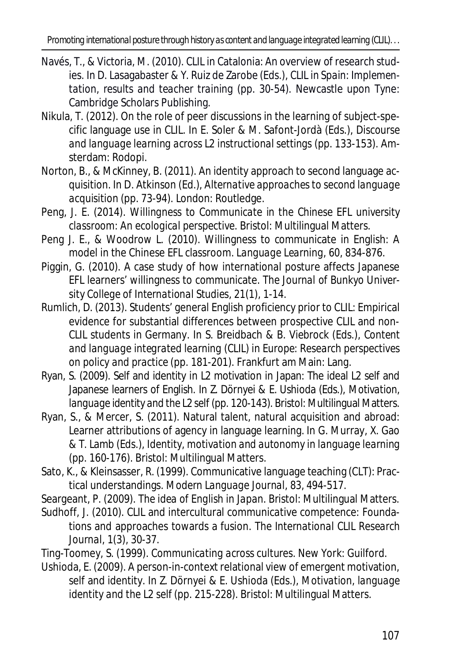- Navés, T., & Victoria, M. (2010). CLIL in Catalonia: An overview of research studies. In D. Lasagabaster & Y. Ruiz de Zarobe (Eds.), *CLIL in Spain: Implementation, results and teacher training* (pp. 30-54). Newcastle upon Tyne: Cambridge Scholars Publishing.
- Nikula, T. (2012). On the role of peer discussions in the learning of subject-specific language use in CLIL. In E. Soler & M. Safont-Jordà (Eds.), *Discourse and language learning across L2 instructional settings* (pp. 133-153). Amsterdam: Rodopi.
- Norton, B., & McKinney, B. (2011). An identity approach to second language acquisition. In D. Atkinson (Ed.), *Alternative approaches to second language acquisition* (pp. 73-94). London: Routledge.
- Peng, J. E. (2014). *Willingness to Communicate in the Chinese EFL university classroom: An ecological perspective.* Bristol: Multilingual Matters.
- Peng J. E., & Woodrow L. (2010). Willingness to communicate in English: A model in the Chinese EFL classroom. *Language Learning, 60*, 834-876.
- Piggin, G. (2010). A case study of how international posture affects Japanese EFL learners' willingness to communicate. *The Journal of Bunkyo University College of International Studies*, *21*(1), 1-14.
- Rumlich, D. (2013). Students' general English proficiency prior to CLIL: Empirical evidence for substantial differences between prospective CLIL and non-CLIL students in Germany. In S. Breidbach & B. Viebrock (Eds.), *Content and language integrated learning* (*CLIL) in Europe: Research perspectives on policy and practice* (pp. 181-201). Frankfurt am Main: Lang.
- Ryan, S. (2009). Self and identity in L2 motivation in Japan: The ideal L2 self and Japanese learners of English. In Z. Dörnyei & E. Ushioda (Eds.), *Motivation, language identity and the L2 self* (pp. 120-143). Bristol: Multilingual Matters.
- Ryan, S., & Mercer, S. (2011). Natural talent, natural acquisition and abroad: Learner attributions of agency in language learning. In G. Murray, X. Gao & T. Lamb (Eds.), *Identity, motivation and autonomy in language learning* (pp. 160-176). Bristol: Multilingual Matters.
- Sato, K., & Kleinsasser, R. (1999). Communicative language teaching (CLT): Practical understandings. *Modern Language Journal, 83*, 494-517.
- Seargeant, P. (2009). *The idea of English in Japan.* Bristol: Multilingual Matters.
- Sudhoff, J. (2010). CLIL and intercultural communicative competence: Foundations and approaches towards a fusion. *The International CLIL Research Journal, 1*(3), 30-37.
- Ting-Toomey, S. (1999). *Communicating across cultures.* New York: Guilford.
- Ushioda, E. (2009). A person-in-context relational view of emergent motivation, self and identity. In Z. Dörnyei & E. Ushioda (Eds.), *Motivation, language identity and the L2 self* (pp. 215-228). Bristol: Multilingual Matters.